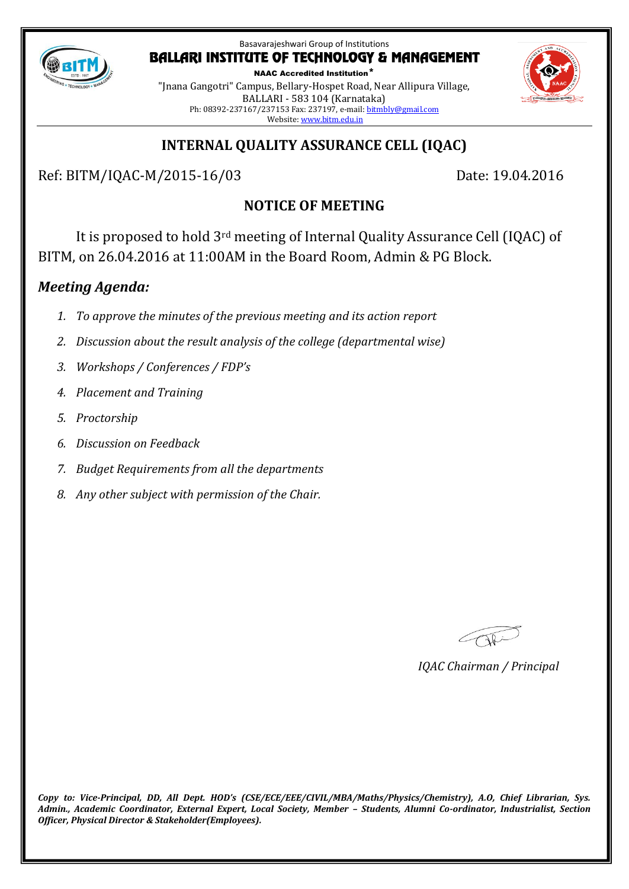

NAAC Accredited Institution\* "Jnana Gangotri" Campus, Bellary-Hospet Road, Near Allipura Village, BALLARI - 583 104 (Karnataka) Ph: 08392-237167/237153 Fax: 237197, e-mail[: bitmbly@gmail.com](mailto:bitmbly@gmail.com) Website[: www.bitm.edu.in](http://www.bec-bellary.com/)



# **INTERNAL QUALITY ASSURANCE CELL (IQAC)**

Ref: BITM/IQAC-M/2015-16/03 Date: 19.04.2016

# **NOTICE OF MEETING**

It is proposed to hold 3rd meeting of Internal Quality Assurance Cell (IQAC) of BITM, on 26.04.2016 at 11:00AM in the Board Room, Admin & PG Block.

# *Meeting Agenda:*

- *1. To approve the minutes of the previous meeting and its action report*
- *2. Discussion about the result analysis of the college (departmental wise)*
- *3. Workshops / Conferences / FDP's*
- *4. Placement and Training*
- *5. Proctorship*
- *6. Discussion on Feedback*
- *7. Budget Requirements from all the departments*
- *8. Any other subject with permission of the Chair.*

COR

*IQAC Chairman / Principal*

*Copy to: Vice-Principal, DD, All Dept. HOD's (CSE/ECE/EEE/CIVIL/MBA/Maths/Physics/Chemistry), A.O, Chief Librarian, Sys. Admin., Academic Coordinator, External Expert, Local Society, Member – Students, Alumni Co-ordinator, Industrialist, Section Officer, Physical Director & Stakeholder(Employees).*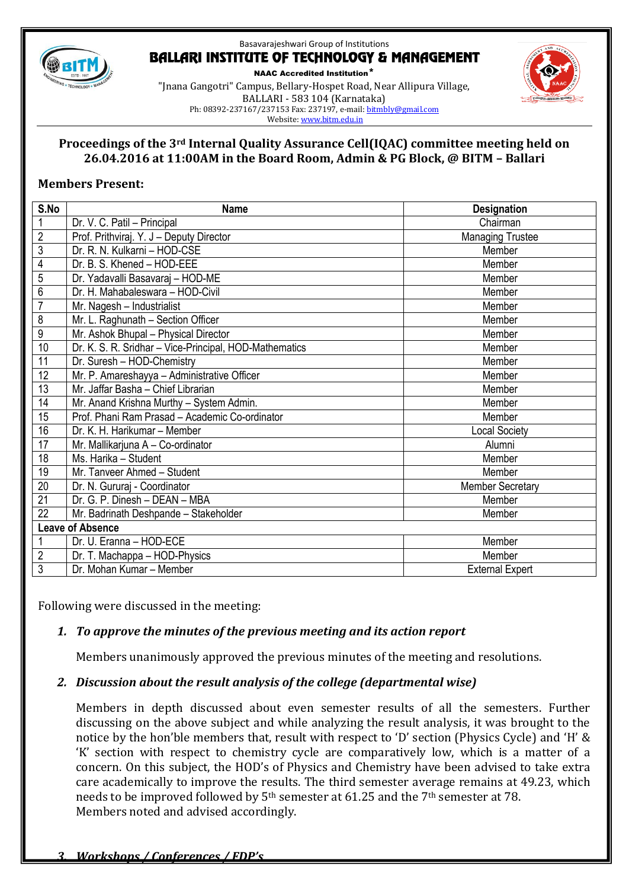

NAAC Accredited Institution\* "Jnana Gangotri" Campus, Bellary-Hospet Road, Near Allipura Village, BALLARI - 583 104 (Karnataka) Ph: 08392-237167/237153 Fax: 237197, e-mail[: bitmbly@gmail.com](mailto:bitmbly@gmail.com) Website[: www.bitm.edu.in](http://www.bec-bellary.com/)



### **Proceedings of the 3rd Internal Quality Assurance Cell(IQAC) committee meeting held on 26.04.2016 at 11:00AM in the Board Room, Admin & PG Block, @ BITM – Ballari**

### **Members Present:**

| S.No                    | <b>Name</b>                                            | <b>Designation</b>      |  |
|-------------------------|--------------------------------------------------------|-------------------------|--|
| $\mathbf{1}$            | Dr. V. C. Patil - Principal                            | Chairman                |  |
| $\overline{2}$          | Prof. Prithviraj. Y. J - Deputy Director               | <b>Managing Trustee</b> |  |
| $\overline{3}$          | Dr. R. N. Kulkarni - HOD-CSE                           | Member                  |  |
| 4                       | Dr. B. S. Khened - HOD-EEE                             | Member                  |  |
| 5                       | Dr. Yadavalli Basavaraj - HOD-ME                       | Member                  |  |
| 6                       | Dr. H. Mahabaleswara - HOD-Civil                       | Member                  |  |
| $\overline{7}$          | Mr. Nagesh - Industrialist                             | Member                  |  |
| 8                       | Mr. L. Raghunath - Section Officer                     | Member                  |  |
| $\boldsymbol{9}$        | Mr. Ashok Bhupal - Physical Director                   | Member                  |  |
| 10                      | Dr. K. S. R. Sridhar - Vice-Principal, HOD-Mathematics | Member                  |  |
| 11                      | Dr. Suresh - HOD-Chemistry                             | Member                  |  |
| 12                      | Mr. P. Amareshayya - Administrative Officer            | Member                  |  |
| $\overline{13}$         | Mr. Jaffar Basha - Chief Librarian                     | Member                  |  |
| 14                      | Mr. Anand Krishna Murthy - System Admin.               | Member                  |  |
| 15                      | Prof. Phani Ram Prasad - Academic Co-ordinator         | Member                  |  |
| 16                      | Dr. K. H. Harikumar - Member                           | <b>Local Society</b>    |  |
| 17                      | Mr. Mallikarjuna A - Co-ordinator                      | Alumni                  |  |
| 18                      | Ms. Harika - Student                                   | Member                  |  |
| 19                      | Mr. Tanveer Ahmed - Student                            | Member                  |  |
| 20                      | Dr. N. Gururaj - Coordinator                           | <b>Member Secretary</b> |  |
| 21                      | Dr. G. P. Dinesh - DEAN - MBA                          | Member                  |  |
| 22                      | Mr. Badrinath Deshpande - Stakeholder                  | Member                  |  |
| <b>Leave of Absence</b> |                                                        |                         |  |
|                         | Dr. U. Eranna - HOD-ECE                                | Member                  |  |
| $\sqrt{2}$              | Dr. T. Machappa - HOD-Physics                          | Member                  |  |
| $\overline{3}$          | Dr. Mohan Kumar - Member                               | <b>External Expert</b>  |  |

Following were discussed in the meeting:

## *1. To approve the minutes of the previous meeting and its action report*

Members unanimously approved the previous minutes of the meeting and resolutions.

#### *2. Discussion about the result analysis of the college (departmental wise)*

Members in depth discussed about even semester results of all the semesters. Further discussing on the above subject and while analyzing the result analysis, it was brought to the notice by the hon'ble members that, result with respect to 'D' section (Physics Cycle) and 'H' & 'K' section with respect to chemistry cycle are comparatively low, which is a matter of a concern. On this subject, the HOD's of Physics and Chemistry have been advised to take extra care academically to improve the results. The third semester average remains at 49.23, which needs to be improved followed by 5<sup>th</sup> semester at 61.25 and the 7<sup>th</sup> semester at 78. Members noted and advised accordingly.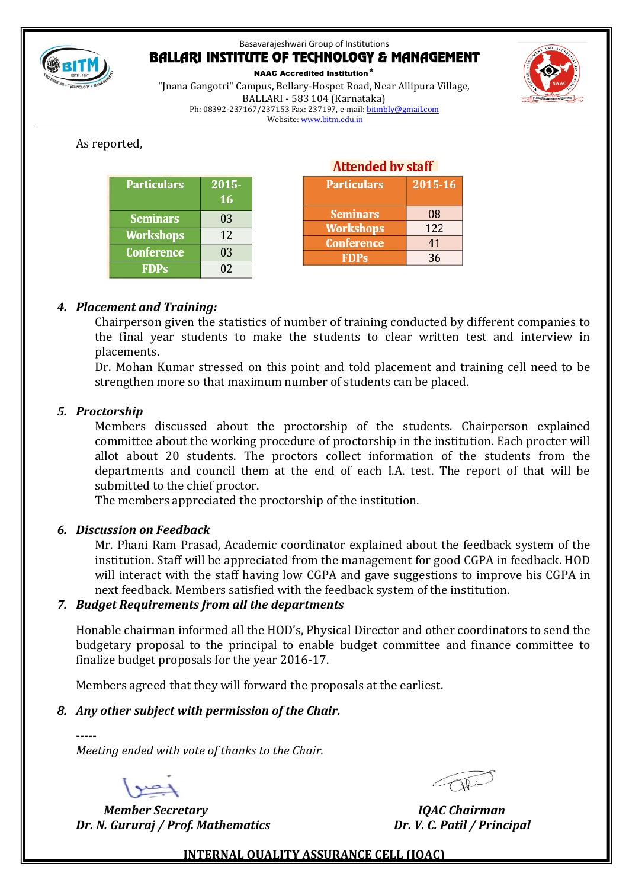

NAAC Accredited Institution\*

"Jnana Gangotri" Campus, Bellary-Hospet Road, Near Allipura Village, BALLARI - 583 104 (Karnataka) Ph: 08392-237167/237153 Fax: 237197, e-mail[: bitmbly@gmail.com](mailto:bitmbly@gmail.com) Website[: www.bitm.edu.in](http://www.bec-bellary.com/)

## As reported,

| <b>Particulars</b> | 2015-<br>16 |
|--------------------|-------------|
| <b>Seminars</b>    | 03          |
| <b>Workshops</b>   | 12          |
| <b>Conference</b>  | 03          |
| <b>FDPs</b>        | 02          |

| Attended by staff  |         |  |
|--------------------|---------|--|
| <b>Particulars</b> | 2015-16 |  |
|                    |         |  |
| <b>Seminars</b>    | 08      |  |
| <b>Workshops</b>   | 122     |  |
| <b>Conference</b>  | 41      |  |
| <b>FDPs</b>        | 36      |  |

## *4. Placement and Training:*

Chairperson given the statistics of number of training conducted by different companies to the final year students to make the students to clear written test and interview in placements.

Dr. Mohan Kumar stressed on this point and told placement and training cell need to be strengthen more so that maximum number of students can be placed.

#### *5. Proctorship*

Members discussed about the proctorship of the students. Chairperson explained committee about the working procedure of proctorship in the institution. Each procter will allot about 20 students. The proctors collect information of the students from the departments and council them at the end of each I.A. test. The report of that will be submitted to the chief proctor.

The members appreciated the proctorship of the institution.

#### *6. Discussion on Feedback*

Mr. Phani Ram Prasad, Academic coordinator explained about the feedback system of the institution. Staff will be appreciated from the management for good CGPA in feedback. HOD will interact with the staff having low CGPA and gave suggestions to improve his CGPA in next feedback. Members satisfied with the feedback system of the institution.

#### *7. Budget Requirements from all the departments*

Honable chairman informed all the HOD's, Physical Director and other coordinators to send the budgetary proposal to the principal to enable budget committee and finance committee to finalize budget proposals for the year 2016-17.

Members agreed that they will forward the proposals at the earliest.

#### *8. Any other subject with permission of the Chair.*

*Meeting ended with vote of thanks to the Chair.*

-----

 *Member Secretary IQAC Chairman Dr. N. Gururaj / Prof. Mathematics Dr. V. C. Patil / Principal*

#### **INTERNAL QUALITY ASSURANCE CELL (IQAC)**